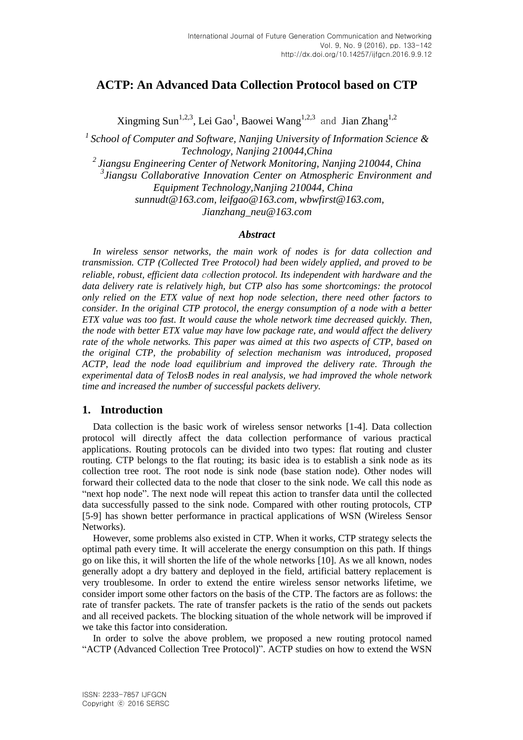## **ACTP: An Advanced Data Collection Protocol based on CTP**

Xingming Sun<sup>1,2,3</sup>, Lei Gao<sup>1</sup>, Baowei Wang<sup>1,2,3</sup> and Jian Zhang<sup>1,2</sup>

*<sup>1</sup>School of Computer and Software, Nanjing University of Information Science & Technology, Nanjing 210044,China*

*<sup>2</sup>Jiangsu Engineering Center of Network Monitoring, Nanjing 210044, China*

*3 Jiangsu Collaborative Innovation Center on Atmospheric Environment and Equipment Technology,Nanjing 210044, China*

*sunnudt@163.com, leifgao@163.com, wbwfirst@163.com,*

*Jianzhang\_neu@163.com*

#### *Abstract*

*In wireless sensor networks, the main work of nodes is for data collection and transmission. CTP (Collected Tree Protocol) had been widely applied, and proved to be reliable, robust, efficient data* co*llection protocol. Its independent with hardware and the data delivery rate is relatively high, but CTP also has some shortcomings: the protocol only relied on the ETX value of next hop node selection, there need other factors to consider. In the original CTP protocol, the energy consumption of a node with a better ETX value was too fast. It would cause the whole network time decreased quickly. Then, the node with better ETX value may have low package rate, and would affect the delivery rate of the whole networks. This paper was aimed at this two aspects of CTP, based on the original CTP, the probability of selection mechanism was introduced, proposed ACTP, lead the node load equilibrium and improved the delivery rate. Through the experimental data of TelosB nodes in real analysis, we had improved the whole network time and increased the number of successful packets delivery.*

#### **1. Introduction**

Data collection is the basic work of wireless sensor networks [1-4]. Data collection protocol will directly affect the data collection performance of various practical applications. Routing protocols can be divided into two types: flat routing and cluster routing. CTP belongs to the flat routing; its basic idea is to establish a sink node as its collection tree root. The root node is sink node (base station node). Other nodes will forward their collected data to the node that closer to the sink node. We call this node as "next hop node". The next node will repeat this action to transfer data until the collected data successfully passed to the sink node. Compared with other routing protocols, CTP [5-9] has shown better performance in practical applications of WSN (Wireless Sensor Networks).

However, some problems also existed in CTP. When it works, CTP strategy selects the optimal path every time. It will accelerate the energy consumption on this path. If things go on like this, it will shorten the life of the whole networks [10]. As we all known, nodes generally adopt a dry battery and deployed in the field, artificial battery replacement is very troublesome. In order to extend the entire wireless sensor networks lifetime, we consider import some other factors on the basis of the CTP. The factors are as follows: the rate of transfer packets. The rate of transfer packets is the ratio of the sends out packets and all received packets. The blocking situation of the whole network will be improved if we take this factor into consideration.

In order to solve the above problem, we proposed a new routing protocol named "ACTP (Advanced Collection Tree Protocol)". ACTP studies on how to extend the WSN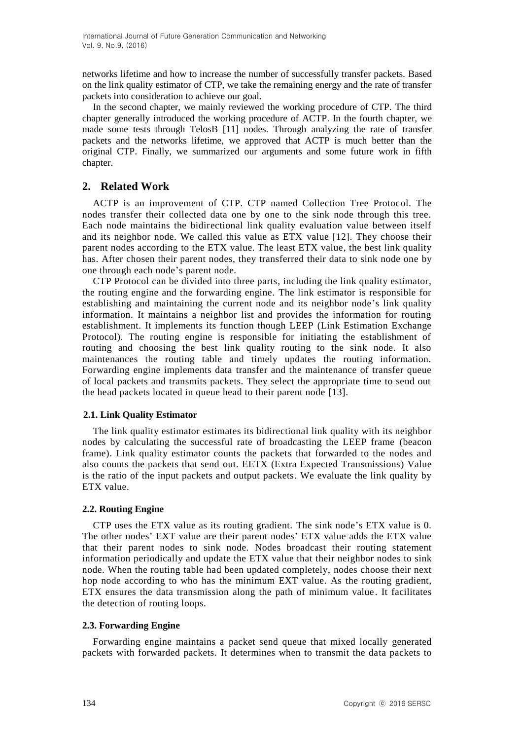networks lifetime and how to increase the number of successfully transfer packets. Based on the link quality estimator of CTP, we take the remaining energy and the rate of transfer packets into consideration to achieve our goal.

In the second chapter, we mainly reviewed the working procedure of CTP. The third chapter generally introduced the working procedure of ACTP. In the fourth chapter, we made some tests through TelosB [11] nodes. Through analyzing the rate of transfer packets and the networks lifetime, we approved that ACTP is much better than the original CTP. Finally, we summarized our arguments and some future work in fifth chapter.

## **2. Related Work**

ACTP is an improvement of CTP. CTP named Collection Tree Protocol. The nodes transfer their collected data one by one to the sink node through this tree. Each node maintains the bidirectional link quality evaluation value between itself and its neighbor node. We called this value as ETX value [12]. They choose their parent nodes according to the ETX value. The least ETX value, the best link quality has. After chosen their parent nodes, they transferred their data to sink node one by one through each node's parent node.

CTP Protocol can be divided into three parts, including the link quality estimator, the routing engine and the forwarding engine. The link estimator is responsible for establishing and maintaining the current node and its neighbor node's link quality information. It maintains a neighbor list and provides the information for routing establishment. It implements its function though LEEP (Link Estimation Exchange Protocol). The routing engine is responsible for initiating the establishment of routing and choosing the best link quality routing to the sink node. It also maintenances the routing table and timely updates the routing information. Forwarding engine implements data transfer and the maintenance of transfer queue of local packets and transmits packets. They select the appropriate time to send out the head packets located in queue head to their parent node [13].

#### **2.1. Link Quality Estimator**

The link quality estimator estimates its bidirectional link quality with its neighbor nodes by calculating the successful rate of broadcasting the LEEP frame (beacon frame). Link quality estimator counts the packets that forwarded to the nodes and also counts the packets that send out. EETX (Extra Expected Transmissions) Value is the ratio of the input packets and output packets. We evaluate the link quality by ETX value.

## **2.2. Routing Engine**

CTP uses the ETX value as its routing gradient. The sink node's ETX value is 0. The other nodes' EXT value are their parent nodes' ETX value adds the ETX value that their parent nodes to sink node. Nodes broadcast their routing statement information periodically and update the ETX value that their neighbor nodes to sink node. When the routing table had been updated completely, nodes choose their next hop node according to who has the minimum EXT value. As the routing gradient, ETX ensures the data transmission along the path of minimum value. It facilitates the detection of routing loops.

## **2.3. Forwarding Engine**

Forwarding engine maintains a packet send queue that mixed locally generated packets with forwarded packets. It determines when to transmit the data packets to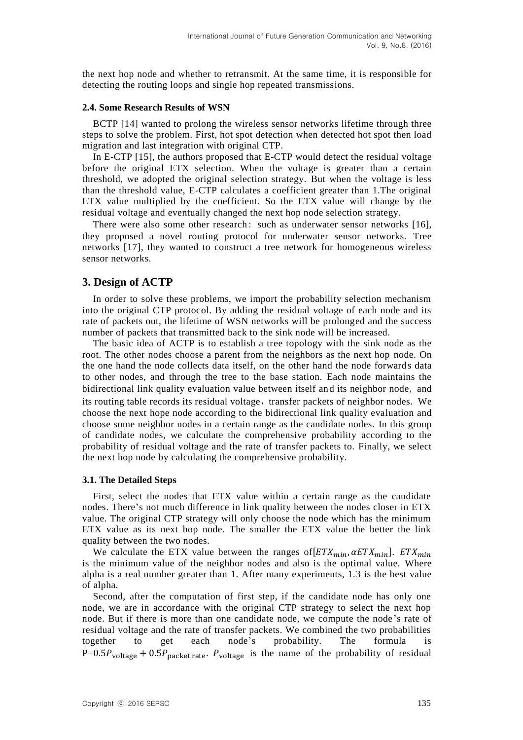the next hop node and whether to retransmit. At the same time, it is responsible for detecting the routing loops and single hop repeated transmissions.

#### **2.4. Some Research Results of WSN**

BCTP [14] wanted to prolong the wireless sensor networks lifetime through three steps to solve the problem. First, hot spot detection when detected hot spot then load migration and last integration with original CTP.

In E-CTP [15], the authors proposed that E-CTP would detect the residual voltage before the original ETX selection. When the voltage is greater than a certain threshold, we adopted the original selection strategy. But when the voltage is less than the threshold value, E-CTP calculates a coefficient greater than 1.The original ETX value multiplied by the coefficient. So the ETX value will change by the residual voltage and eventually changed the next hop node selection strategy.

There were also some other research: such as underwater sensor networks [16], they proposed a novel routing protocol for underwater sensor networks. Tree networks [17], they wanted to construct a tree network for homogeneous wireless sensor networks.

#### **3. Design of ACTP**

In order to solve these problems, we import the probability selection mechanism into the original CTP protocol. By adding the residual voltage of each node and its rate of packets out, the lifetime of WSN networks will be prolonged and the success number of packets that transmitted back to the sink node will be increased.

The basic idea of ACTP is to establish a tree topology with the sink node as the root. The other nodes choose a parent from the neighbors as the next hop node. On the one hand the node collects data itself, on the other hand the node forwards data to other nodes, and through the tree to the base station. Each node maintains the bidirectional link quality evaluation value between itself and its neighbor node, and its routing table records its residual voltage, transfer packets of neighbor nodes. We choose the next hope node according to the bidirectional link quality evaluation and choose some neighbor nodes in a certain range as the candidate nodes. In this group of candidate nodes, we calculate the comprehensive probability according to the probability of residual voltage and the rate of transfer packets to. Finally, we select the next hop node by calculating the comprehensive probability.

#### **3.1. The Detailed Steps**

First, select the nodes that ETX value within a certain range as the candidate nodes. There's not much difference in link quality between the nodes closer in ETX value. The original CTP strategy will only choose the node which has the minimum ETX value as its next hop node. The smaller the ETX value the better the link quality between the two nodes.

We calculate the ETX value between the ranges of  $[ETX<sub>min</sub>, \alpha ETX<sub>min</sub>]$ .  $ETX<sub>min</sub>$ is the minimum value of the neighbor nodes and also is the optimal value. Where alpha is a real number greater than 1. After many experiments, 1.3 is the best value of alpha.

Second, after the computation of first step, if the candidate node has only one node, we are in accordance with the original CTP strategy to select the next hop node. But if there is more than one candidate node, we compute the node's rate of residual voltage and the rate of transfer packets. We combined the two probabilities together to get each node's probability. The formula is  $P= 0.5 P_{voltage} + 0.5 P_{packet\ rate}$ .  $P_{voltage}$  is the name of the probability of residual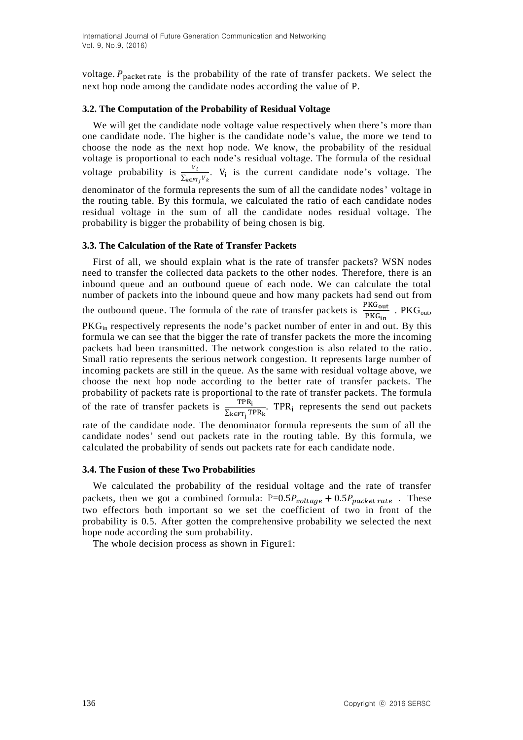voltage.  $P_{packet\ rate}$  is the probability of the rate of transfer packets. We select the next hop node among the candidate nodes according the value of P.

#### **3.2. The Computation of the Probability of Residual Voltage**

We will get the candidate node voltage value respectively when there's more than one candidate node. The higher is the candidate node's value, the more we tend to choose the node as the next hop node. We know, the probability of the residual voltage is proportional to each node's residual voltage. The formula of the residual voltage probability is  $\frac{V_i}{\sum_{k \in FT_j} V_k}$ . V<sub>i</sub> is the current candidate node's voltage. The denominator of the formula represents the sum of all the candidate nodes' voltage in the routing table. By this formula, we calculated the ratio of each candidate nodes residual voltage in the sum of all the candidate nodes residual voltage. The probability is bigger the probability of being chosen is big.

#### **3.3. The Calculation of the Rate of Transfer Packets**

First of all, we should explain what is the rate of transfer packets? WSN nodes need to transfer the collected data packets to the other nodes. Therefore, there is an inbound queue and an outbound queue of each node. We can calculate the total number of packets into the inbound queue and how many packets had send out from the outbound queue. The formula of the rate of transfer packets is  $\frac{1 \text{ Nc}_{\text{out}}}{\text{PKG}_{\text{in}}}$ . PKG<sub>out</sub>, PKG<sub>in</sub> respectively represents the node's packet number of enter in and out. By this formula we can see that the bigger the rate of transfer packets the more the incoming packets had been transmitted. The network congestion is also related to the ratio. Small ratio represents the serious network congestion. It represents large number of incoming packets are still in the queue. As the same with residual voltage above, we choose the next hop node according to the better rate of transfer packets. The probability of packets rate is proportional to the rate of transfer packets. The formula of the rate of transfer packets is  $\frac{TPR_i}{\sum_{k \in FT_i} TPR_k}$ . TPR<sub>i</sub> represents the send out packets rate of the candidate node. The denominator formula represents the sum of all the candidate nodes' send out packets rate in the routing table. By this formula, we

# **3.4. The Fusion of these Two Probabilities**

We calculated the probability of the residual voltage and the rate of transfer packets, then we got a combined formula:  $P=0.5P_{voltage} + 0.5P_{packet\ rate}$ . These two effectors both important so we set the coefficient of two in front of the probability is 0.5. After gotten the comprehensive probability we selected the next hope node according the sum probability.

calculated the probability of sends out packets rate for each candidate node.

The whole decision process as shown in Figure1: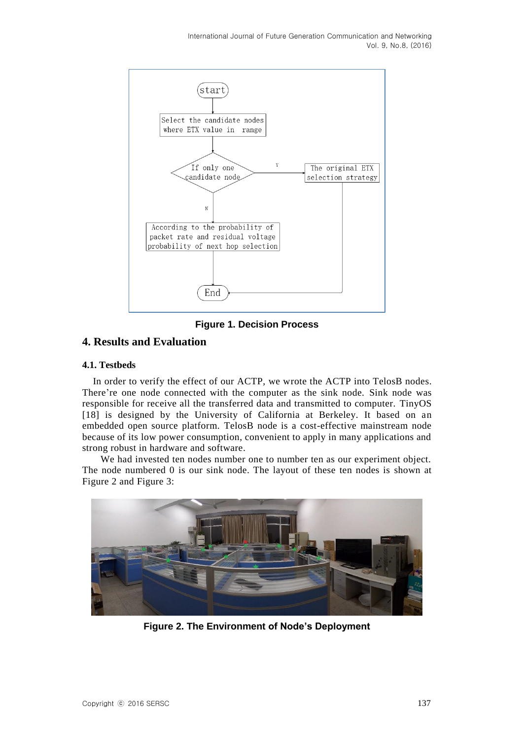

**Figure 1. Decision Process**

## **4. Results and Evaluation**

#### **4.1. Testbeds**

In order to verify the effect of our ACTP, we wrote the ACTP into TelosB nodes. There're one node connected with the computer as the sink node. Sink node was responsible for receive all the transferred data and transmitted to computer. TinyOS [18] is designed by the University of California at Berkeley. It based on an embedded open source platform. TelosB node is a cost-effective mainstream node because of its low power consumption, convenient to apply in many applications and strong robust in hardware and software.

We had invested ten nodes number one to number ten as our experiment object. The node numbered 0 is our sink node. The layout of these ten nodes is shown at Figure 2 and Figure 3:



**Figure 2. The Environment of Node's Deployment**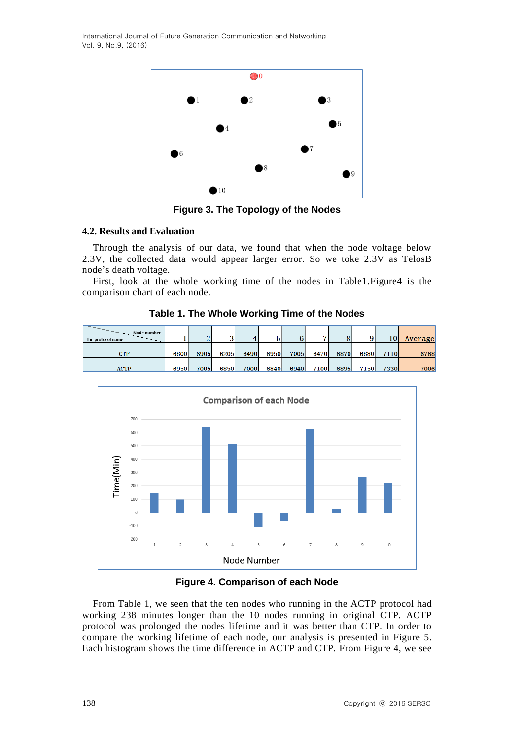International Journal of Future Generation Communication and Networking Vol. 9, No.9, (2016)



**Figure 3. The Topology of the Nodes**

#### **4.2. Results and Evaluation**

Through the analysis of our data, we found that when the node voltage below 2.3V, the collected data would appear larger error. So we toke 2.3V as TelosB node's death voltage.

First, look at the whole working time of the nodes in Table1.Figure4 is the comparison chart of each node.

| Node number       |      |        |        |      |      |      | -    |      |      |              |         |
|-------------------|------|--------|--------|------|------|------|------|------|------|--------------|---------|
| The protocol name |      | റ<br>▵ | ົ<br>◡ |      |      | 6    |      |      | a    | $10^{\circ}$ | Average |
|                   |      |        |        |      |      |      |      |      |      |              |         |
| CTP               | 6800 | 6905   | 6205   | 6490 | 6950 | 7005 | 6470 | 6870 | 6880 | 7110         | 6768    |
|                   |      |        |        |      |      |      |      |      |      |              |         |
| <b>ACTP</b>       | 6950 | 7005   | 6850   | 7000 | 6840 | 6940 | 7100 | 6895 | 7150 | 7330         | 7006    |

**Table 1. The Whole Working Time of the Nodes** 



**Figure 4. Comparison of each Node**

From Table 1, we seen that the ten nodes who running in the ACTP protocol had working 238 minutes longer than the 10 nodes running in original CTP. ACTP protocol was prolonged the nodes lifetime and it was better than CTP. In order to compare the working lifetime of each node, our analysis is presented in Figure 5. Each histogram shows the time difference in ACTP and CTP. From Figure 4, we see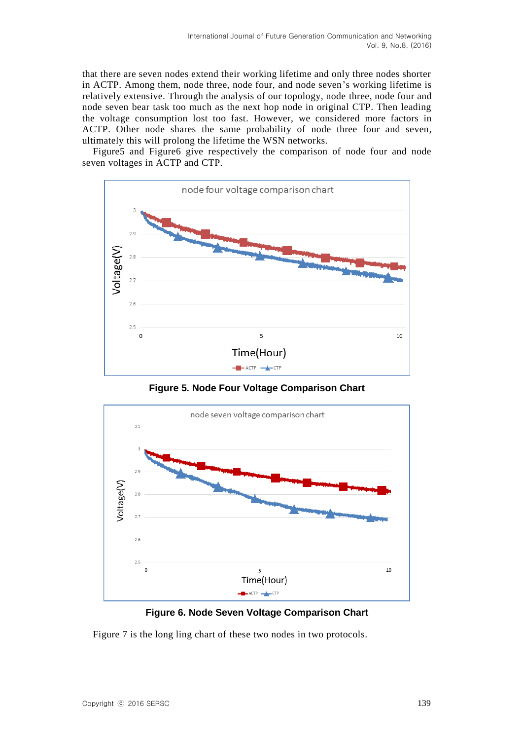that there are seven nodes extend their working lifetime and only three nodes shorter in ACTP. Among them, node three, node four, and node seven's working lifetime is relatively extensive. Through the analysis of our topology, node three, node four and node seven bear task too much as the next hop node in original CTP. Then leading the voltage consumption lost too fast. However, we considered more factors in ACTP. Other node shares the same probability of node three four and seven, ultimately this will prolong the lifetime the WSN networks.

Figure5 and Figure6 give respectively the comparison of node four and node seven voltages in ACTP and CTP.



**Figure 5. Node Four Voltage Comparison Chart**



**Figure 6. Node Seven Voltage Comparison Chart**

Figure 7 is the long ling chart of these two nodes in two protocols.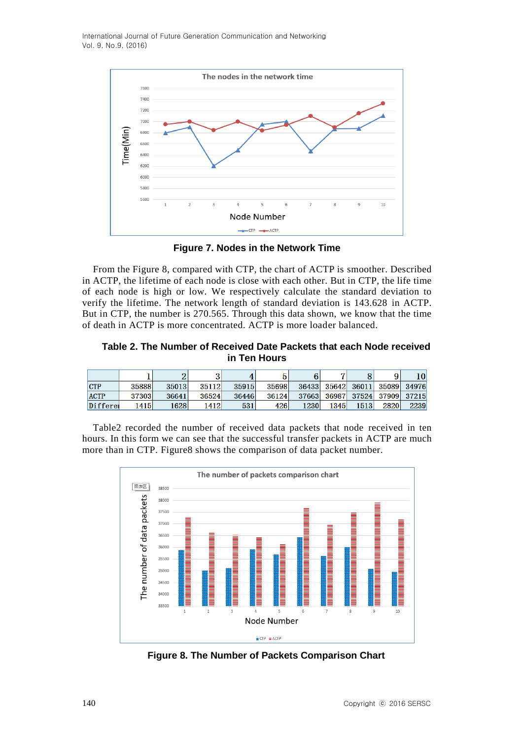International Journal of Future Generation Communication and Networking Vol. 9, No.9, (2016)



**Figure 7. Nodes in the Network Time**

From the Figure 8, compared with CTP, the chart of ACTP is smoother. Described in ACTP, the lifetime of each node is close with each other. But in CTP, the life time of each node is high or low. We respectively calculate the standard deviation to verify the lifetime. The network length of standard deviation is 143.628 in ACTP. But in CTP, the number is 270.565. Through this data shown, we know that the time of death in ACTP is more concentrated. ACTP is more loader balanced.

#### **Table 2. The Number of Received Date Packets that each Node received in Ten Hours**

|             |       |       |       | 4     |       |       | ▱     |       | Q           | 10    |
|-------------|-------|-------|-------|-------|-------|-------|-------|-------|-------------|-------|
| <b>CTP</b>  | 35888 | 35013 | 35112 | 35915 | 35698 | 36433 | 35642 | 36011 | 35089       | 34976 |
| <b>ACTP</b> | 37303 | 36641 | 36524 | 36446 | 36124 | 37663 | 36987 | 37524 | 37909 37215 |       |
| Differe     | 1415  | 1628  | 1412  | 531   | 426   | 1230  | 1345  | 1513  | 2820        | 2239  |

Table2 recorded the number of received data packets that node received in ten hours. In this form we can see that the successful transfer packets in ACTP are much more than in CTP. Figure8 shows the comparison of data packet number.



**Figure 8. The Number of Packets Comparison Chart**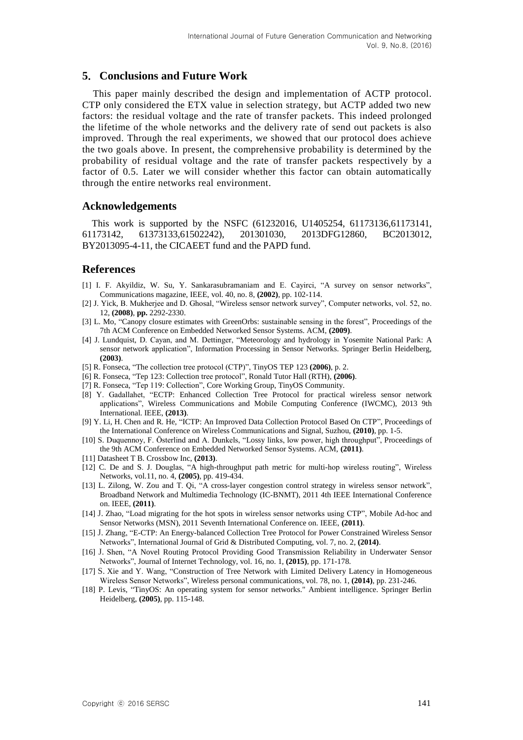## **5**. **Conclusions and Future Work**

This paper mainly described the design and implementation of ACTP protocol. CTP only considered the ETX value in selection strategy, but ACTP added two new factors: the residual voltage and the rate of transfer packets. This indeed prolonged the lifetime of the whole networks and the delivery rate of send out packets is also improved. Through the real experiments, we showed that our protocol does achieve the two goals above. In present, the comprehensive probability is determined by the probability of residual voltage and the rate of transfer packets respectively by a factor of 0.5. Later we will consider whether this factor can obtain automatically through the entire networks real environment.

#### **Acknowledgements**

This work is supported by the NSFC (61232016, U1405254, 61173136,61173141, 61173142, 61373133,61502242), 201301030, 2013DFG12860, BC2013012, BY2013095-4-11, the CICAEET fund and the PAPD fund.

### **References**

- [1] I. F. Akyildiz, W. Su, Y. Sankarasubramaniam and E. Cayirci, "A survey on sensor networks", Communications magazine, IEEE, vol. 40, no. 8, **(2002)**, pp. 102-114.
- [2] J. Yick, B. Mukherjee and D. Ghosal, "Wireless sensor network survey", Computer networks, vol. 52, no. 12, **(2008)**, **pp.** 2292-2330.
- [3] L. Mo, "Canopy closure estimates with GreenOrbs: sustainable sensing in the forest", Proceedings of the 7th ACM Conference on Embedded Networked Sensor Systems. ACM, **(2009)**.
- [4] J. Lundquist, D. Cayan, and M. Dettinger, "Meteorology and hydrology in Yosemite National Park: A sensor network application", Information Processing in Sensor Networks. Springer Berlin Heidelberg, **(2003)**.
- [5] R. Fonseca, "The collection tree protocol (CTP)", TinyOS TEP 123 **(2006)**, p. 2.
- [6] R. Fonseca, "Tep 123: Collection tree protocol", Ronald Tutor Hall (RTH), **(2006)**.
- [7] R. Fonseca, "Tep 119: Collection", Core Working Group, TinyOS Community.
- [8] Y. Gadallahet, "ECTP: Enhanced Collection Tree Protocol for practical wireless sensor network applications", Wireless Communications and Mobile Computing Conference (IWCMC), 2013 9th International. IEEE, **(2013)**.
- [9] Y. Li, H. Chen and R. He, "ICTP: An Improved Data Collection Protocol Based On CTP", Proceedings of the International Conference on Wireless Communications and Signal, Suzhou, **(2010)**, pp. 1-5.
- [10] S. Duquennoy, F. Österlind and A. Dunkels, "Lossy links, low power, high throughput", Proceedings of the 9th ACM Conference on Embedded Networked Sensor Systems. ACM, **(2011)**.
- [11] Datasheet T B. Crossbow Inc, **(2013)**.
- [12] C. De and S. J. Douglas, "A high-throughput path metric for multi-hop wireless routing", Wireless Networks, vol.11, no. 4, **(2005)**, pp. 419-434.
- [13] L. Zilong, W. Zou and T. Qi, "A cross-layer congestion control strategy in wireless sensor network", Broadband Network and Multimedia Technology (IC-BNMT), 2011 4th IEEE International Conference on. IEEE, **(2011)**.
- [14] J. Zhao, "Load migrating for the hot spots in wireless sensor networks using CTP", Mobile Ad-hoc and Sensor Networks (MSN), 2011 Seventh International Conference on. IEEE, **(2011)**.
- [15] J. Zhang, "E-CTP: An Energy-balanced Collection Tree Protocol for Power Constrained Wireless Sensor Networks", International Journal of Grid & Distributed Computing, vol. 7, no. 2, **(2014)**.
- [16] J. Shen, "A Novel Routing Protocol Providing Good Transmission Reliability in Underwater Sensor Networks", Journal of Internet Technology, vol. 16, no. 1, **(2015)**, pp. 171-178.
- [17] S. Xie and Y. Wang, "Construction of Tree Network with Limited Delivery Latency in Homogeneous Wireless Sensor Networks", Wireless personal communications, vol. 78, no. 1, **(2014)**, pp. 231-246.
- [18] P. Levis, "TinyOS: An operating system for sensor networks." Ambient intelligence. Springer Berlin Heidelberg, **(2005)**, pp. 115-148.